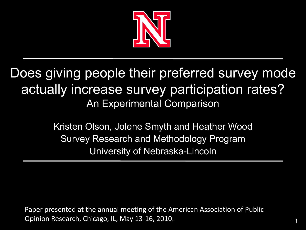

#### Does giving people their preferred survey mode actually increase survey participation rates? An Experimental Comparison

Kristen Olson, Jolene Smyth and Heather Wood Survey Research and Methodology Program University of Nebraska-Lincoln

Paper presented at the annual meeting of the American Association of Public Opinion Research, Chicago, IL, May 13-16, 2010.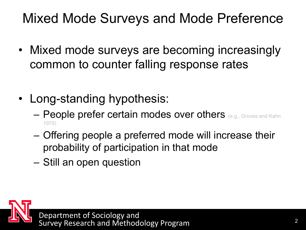#### Mixed Mode Surveys and Mode Preference

- Mixed mode surveys are becoming increasingly common to counter falling response rates
- Long-standing hypothesis:
	- People prefer certain modes over others (e.g., Groves and Kahn 1979)
	- Offering people a preferred mode will increase their probability of participation in that mode
	- Still an open question

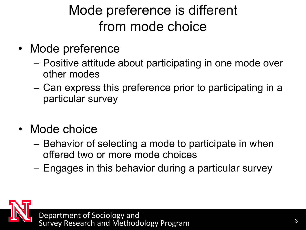### Mode preference is different from mode choice

- Mode preference
	- Positive attitude about participating in one mode over other modes
	- Can express this preference prior to participating in a particular survey
- Mode choice
	- Behavior of selecting a mode to participate in when offered two or more mode choices
	- Engages in this behavior during a particular survey

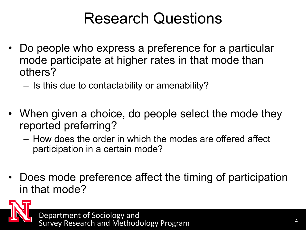### Research Questions

- Do people who express a preference for a particular mode participate at higher rates in that mode than others?
	- Is this due to contactability or amenability?
- When given a choice, do people select the mode they reported preferring?
	- How does the order in which the modes are offered affect participation in a certain mode?
- Does mode preference affect the timing of participation in that mode?

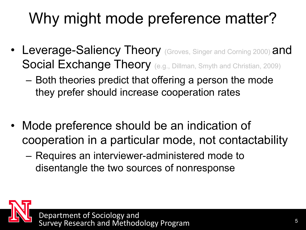# Why might mode preference matter?

- Leverage-Saliency Theory (Groves, Singer and Corning 2000) and Social Exchange Theory (e.g., Dillman, Smyth and Christian, 2009)
	- Both theories predict that offering a person the mode they prefer should increase cooperation rates
- Mode preference should be an indication of cooperation in a particular mode, not contactability
	- Requires an interviewer-administered mode to disentangle the two sources of nonresponse

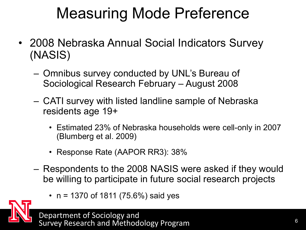### Measuring Mode Preference

- 2008 Nebraska Annual Social Indicators Survey (NASIS)
	- Omnibus survey conducted by UNL's Bureau of Sociological Research February – August 2008
	- CATI survey with listed landline sample of Nebraska residents age 19+
		- Estimated 23% of Nebraska households were cell-only in 2007 (Blumberg et al. 2009)
		- Response Rate (AAPOR RR3): 38%
	- Respondents to the 2008 NASIS were asked if they would be willing to participate in future social research projects
		- $n = 1370$  of 1811 (75.6%) said yes

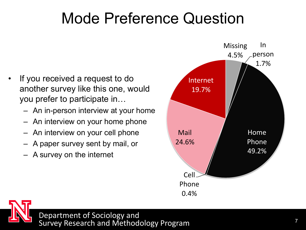### Mode Preference Question

- If you received a request to do another survey like this one, would you prefer to participate in…
	- An in-person interview at your home
	- An interview on your home phone
	- An interview on your cell phone
	- A paper survey sent by mail, or
	- A survey on the internet



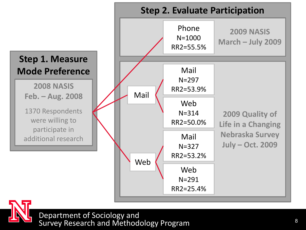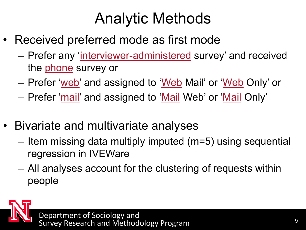### Analytic Methods

- Received preferred mode as first mode
	- Prefer any 'interviewer-administered survey' and received the **phone** survey or
	- Prefer 'web' and assigned to 'Web Mail' or 'Web Only' or
	- Prefer 'mail' and assigned to 'Mail Web' or 'Mail Only'
- Bivariate and multivariate analyses
	- Item missing data multiply imputed (m=5) using sequential regression in IVEWare
	- All analyses account for the clustering of requests within people

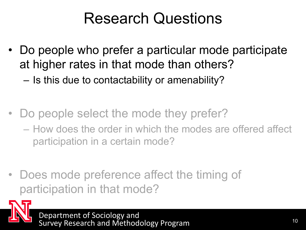### Research Questions

- Do people who prefer a particular mode participate at higher rates in that mode than others?
	- Is this due to contactability or amenability?
- Do people select the mode they prefer?
	- How does the order in which the modes are offered affect participation in a certain mode?
- Does mode preference affect the timing of participation in that mode?

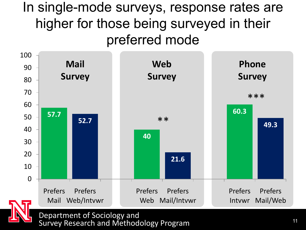#### In single-mode surveys, response rates are higher for those being surveyed in their preferred mode

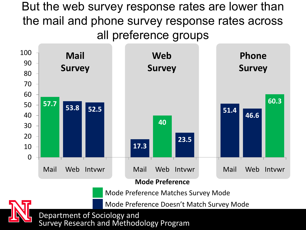But the web survey response rates are lower than the mail and phone survey response rates across all preference groups

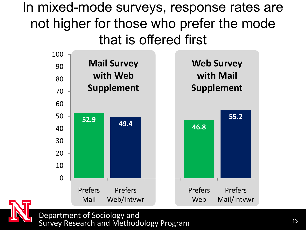In mixed-mode surveys, response rates are not higher for those who prefer the mode that is offered first



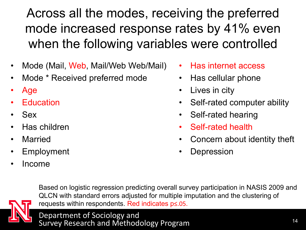Across all the modes, receiving the preferred mode increased response rates by 41% even when the following variables were controlled

- Mode (Mail, Web, Mail/Web Web/Mail)
- Mode \* Received preferred mode
- Age
- **Education**
- Sex
- Has children
- **Married**
- **Employment**
- Income
- Has internet access
- Has cellular phone
- Lives in city
- Self-rated computer ability
- Self-rated hearing
- Self-rated health
- Concern about identity theft
- **Depression**



Based on logistic regression predicting overall survey participation in NASIS 2009 and QLCN with standard errors adjusted for multiple imputation and the clustering of requests within respondents. Red indicates p≤.05.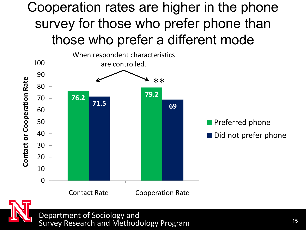#### Cooperation rates are higher in the phone survey for those who prefer phone than those who prefer a different mode



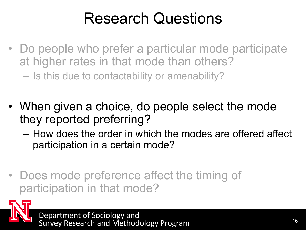### Research Questions

- Do people who prefer a particular mode participate at higher rates in that mode than others? – Is this due to contactability or amenability?
- When given a choice, do people select the mode they reported preferring?
	- How does the order in which the modes are offered affect participation in a certain mode?
- Does mode preference affect the timing of participation in that mode?

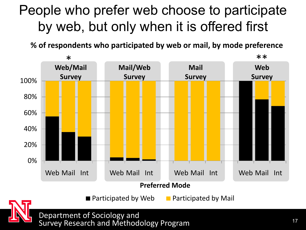#### People who prefer web choose to participate by web, but only when it is offered first

**% of respondents who participated by web or mail, by mode preference**



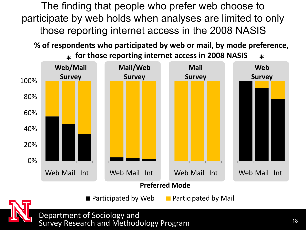The finding that people who prefer web choose to participate by web holds when analyses are limited to only those reporting internet access in the 2008 NASIS

**% of respondents who participated by web or mail, by mode preference,** 



 $\blacksquare$  Participated by Web  $\blacksquare$  Participated by Mail

\* **for those reporting internet access in 2008 NASIS**<br>A (Mail internet of Mail internet of Mail internet)

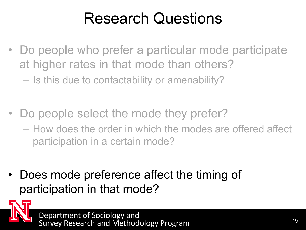### Research Questions

- Do people who prefer a particular mode participate at higher rates in that mode than others?
	- Is this due to contactability or amenability?
- Do people select the mode they prefer?
	- How does the order in which the modes are offered affect participation in a certain mode?
- Does mode preference affect the timing of participation in that mode?

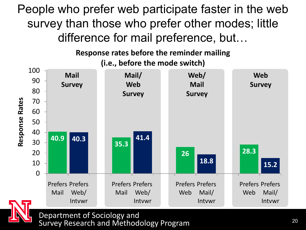People who prefer web participate faster in the web survey than those who prefer other modes; little difference for mail preference, but…

> **Response rates before the reminder mailing (i.e., before the mode switch)**



Survey Research and Methodology Program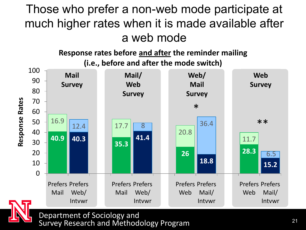#### Those who prefer a non-web mode participate at much higher rates when it is made available after a web mode

**Response rates before and after the reminder mailing (i.e., before and after the mode switch)**

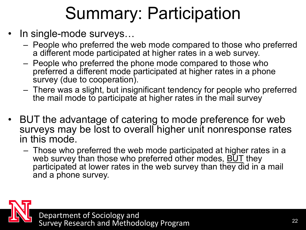# Summary: Participation

- In single-mode surveys...
	- People who preferred the web mode compared to those who preferred a different mode participated at higher rates in a web survey.
	- People who preferred the phone mode compared to those who preferred a different mode participated at higher rates in a phone survey (due to cooperation).
	- There was a slight, but insignificant tendency for people who preferred the mail mode to participate at higher rates in the mail survey
- BUT the advantage of catering to mode preference for web surveys may be lost to overall higher unit nonresponse rates in this mode.
	- Those who preferred the web mode participated at higher rates in a web survey than those who preferred other modes, BUT they participated at lower rates in the web survey than they did in a mail and a phone survey.

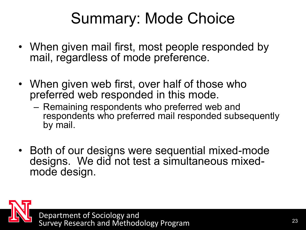### Summary: Mode Choice

- When given mail first, most people responded by mail, regardless of mode preference.
- When given web first, over half of those who preferred web responded in this mode.
	- Remaining respondents who preferred web and respondents who preferred mail responded subsequently by mail.
- Both of our designs were sequential mixed-mode designs. We did not test a simultaneous mixedmode design.

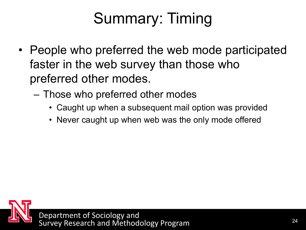# Summary: Timing

- People who preferred the web mode participated faster in the web survey than those who preferred other modes.
	- Those who preferred other modes
		- Caught up when a subsequent mail option was provided
		- Never caught up when web was the only mode offered

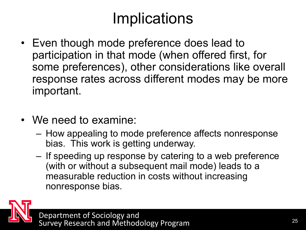### Implications

- Even though mode preference does lead to participation in that mode (when offered first, for some preferences), other considerations like overall response rates across different modes may be more important.
- We need to examine:
	- How appealing to mode preference affects nonresponse bias. This work is getting underway.
	- If speeding up response by catering to a web preference (with or without a subsequent mail mode) leads to a measurable reduction in costs without increasing nonresponse bias.